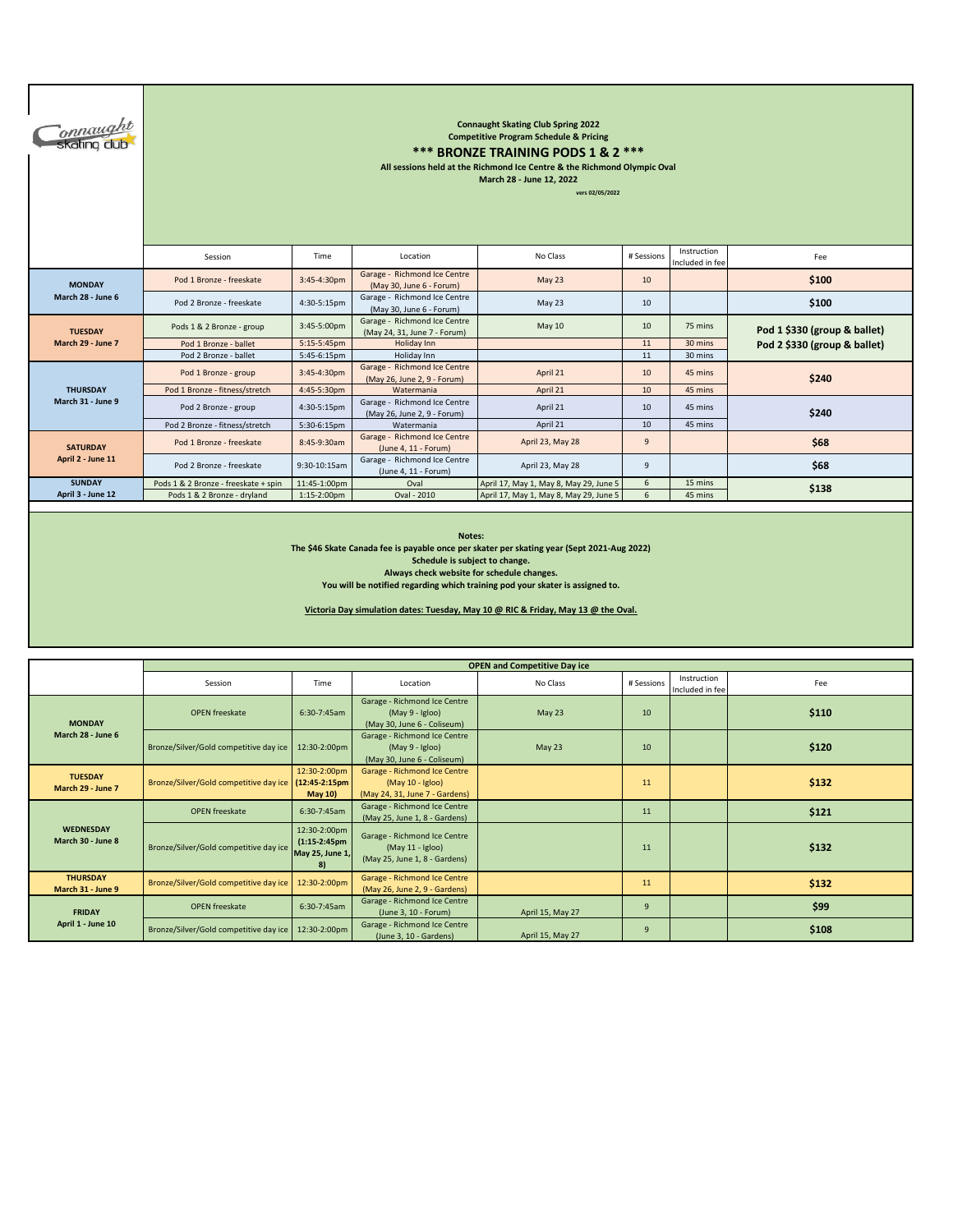| <b>Connaught</b>  | <b>Connaught Skating Club Spring 2022</b><br><b>Competitive Program Schedule &amp; Pricing</b><br>*** BRONZE TRAINING PODS 1 & 2 ***<br>All sessions held at the Richmond Ice Centre & the Richmond Olympic Oval<br>March 28 - June 12, 2022<br>vers 02/05/2022 |                |                                                              |                                        |                |                                |                              |  |  |  |  |
|-------------------|-----------------------------------------------------------------------------------------------------------------------------------------------------------------------------------------------------------------------------------------------------------------|----------------|--------------------------------------------------------------|----------------------------------------|----------------|--------------------------------|------------------------------|--|--|--|--|
|                   | Session                                                                                                                                                                                                                                                         | Time           | Location                                                     | No Class                               | # Sessions     | Instruction<br>Included in fee | Fee                          |  |  |  |  |
| <b>MONDAY</b>     | Pod 1 Bronze - freeskate                                                                                                                                                                                                                                        | 3:45-4:30pm    | Garage - Richmond Ice Centre<br>(May 30, June 6 - Forum)     | May 23                                 | 10             |                                | \$100                        |  |  |  |  |
| March 28 - June 6 | Pod 2 Bronze - freeskate                                                                                                                                                                                                                                        | 4:30-5:15pm    | Garage - Richmond Ice Centre<br>(May 30, June 6 - Forum)     | May 23                                 | 10             |                                | \$100                        |  |  |  |  |
| <b>TUESDAY</b>    | Pods 1 & 2 Bronze - group                                                                                                                                                                                                                                       | 3:45-5:00pm    | Garage - Richmond Ice Centre<br>(May 24, 31, June 7 - Forum) | May 10                                 | 10             | 75 mins                        | Pod 1 \$330 (group & ballet) |  |  |  |  |
| March 29 - June 7 | Pod 1 Bronze - ballet                                                                                                                                                                                                                                           | 5:15-5:45pm    | Holiday Inn                                                  |                                        | 11             | 30 mins                        | Pod 2 \$330 (group & ballet) |  |  |  |  |
|                   | Pod 2 Bronze - ballet                                                                                                                                                                                                                                           | 5:45-6:15pm    | Holiday Inn                                                  |                                        | 11             | 30 mins                        |                              |  |  |  |  |
|                   | Pod 1 Bronze - group                                                                                                                                                                                                                                            | 3:45-4:30pm    | Garage - Richmond Ice Centre<br>(May 26, June 2, 9 - Forum)  | April 21                               | 10             | 45 mins                        | \$240                        |  |  |  |  |
| <b>THURSDAY</b>   | Pod 1 Bronze - fitness/stretch                                                                                                                                                                                                                                  | 4:45-5:30pm    | Watermania                                                   | April 21                               | 10             | 45 mins                        |                              |  |  |  |  |
| March 31 - June 9 | Pod 2 Bronze - group                                                                                                                                                                                                                                            | 4:30-5:15pm    | Garage - Richmond Ice Centre<br>(May 26, June 2, 9 - Forum)  | April 21                               | 10             | 45 mins                        | \$240                        |  |  |  |  |
|                   | Pod 2 Bronze - fitness/stretch                                                                                                                                                                                                                                  | 5:30-6:15pm    | Watermania                                                   | April 21                               | 10             | 45 mins                        |                              |  |  |  |  |
| <b>SATURDAY</b>   | Pod 1 Bronze - freeskate                                                                                                                                                                                                                                        | 8:45-9:30am    | Garage - Richmond Ice Centre<br>(June 4, 11 - Forum)         | April 23, May 28                       | $\overline{9}$ |                                | \$68                         |  |  |  |  |
| April 2 - June 11 | Pod 2 Bronze - freeskate                                                                                                                                                                                                                                        | 9:30-10:15am   | Garage - Richmond Ice Centre<br>(June 4, 11 - Forum)         | April 23, May 28                       | 9              |                                | \$68                         |  |  |  |  |
| <b>SUNDAY</b>     | Pods 1 & 2 Bronze - freeskate + spin                                                                                                                                                                                                                            | 11:45-1:00pm   | Oval                                                         | April 17, May 1, May 8, May 29, June 5 | 6              | 15 mins                        | \$138                        |  |  |  |  |
| April 3 - June 12 | Pods 1 & 2 Bronze - dryland                                                                                                                                                                                                                                     | $1:15-2:00$ pm | Oval - 2010                                                  | April 17, May 1, May 8, May 29, June 5 | 6              | 45 mins                        |                              |  |  |  |  |
|                   |                                                                                                                                                                                                                                                                 |                |                                                              |                                        |                |                                |                              |  |  |  |  |

Notes:<br>The \$46 Skate Canada fee is payable once per skater per skating year (Sept 2021-Aug 2022)<br>Schedule is subject to change.<br>Always check website for schedule changes.<br>You will be notified regarding which training pod y

**Victoria Day simulation dates: Tuesday, May 10 @ RIC & Friday, May 13 @ the Oval.**

|                                       | <b>OPEN and Competitive Day ice</b>                    |                                                          |                                                                                    |                  |                |                                |       |  |
|---------------------------------------|--------------------------------------------------------|----------------------------------------------------------|------------------------------------------------------------------------------------|------------------|----------------|--------------------------------|-------|--|
|                                       | Session                                                | Time                                                     | Location                                                                           | No Class         | # Sessions     | Instruction<br>Included in fee | Fee   |  |
| <b>MONDAY</b><br>March 28 - June 6    | <b>OPEN</b> freeskate                                  | 6:30-7:45am                                              | Garage - Richmond Ice Centre<br>$(May 9 - Igloo)$<br>(May 30, June 6 - Coliseum)   | May 23           | 10             |                                | \$110 |  |
|                                       | Bronze/Silver/Gold competitive day ice                 | 12:30-2:00pm                                             | Garage - Richmond Ice Centre<br>(May 9 - Igloo)<br>(May 30, June 6 - Coliseum)     | May 23           | 10             |                                | \$120 |  |
| <b>TUESDAY</b><br>March 29 - June 7   | Bronze/Silver/Gold competitive day ice   (12:45-2:15pm | 12:30-2:00pm<br>May 10)                                  | Garage - Richmond Ice Centre<br>(May 10 - Igloo)<br>(May 24, 31, June 7 - Gardens) |                  | 11             |                                | \$132 |  |
|                                       | <b>OPEN</b> freeskate                                  | 6:30-7:45am                                              | Garage - Richmond Ice Centre<br>(May 25, June 1, 8 - Gardens)                      |                  | 11             |                                | \$121 |  |
| <b>WEDNESDAY</b><br>March 30 - June 8 | Bronze/Silver/Gold competitive day ice                 | 12:30-2:00pm<br>$(1:15-2:45$ pm<br>May 25, June 1,<br>8) | Garage - Richmond Ice Centre<br>(May 11 - Igloo)<br>(May 25, June 1, 8 - Gardens)  |                  | 11             |                                | \$132 |  |
| <b>THURSDAY</b><br>March 31 - June 9  | Bronze/Silver/Gold competitive day ice                 | 12:30-2:00pm                                             | Garage - Richmond Ice Centre<br>(May 26, June 2, 9 - Gardens)                      |                  | 11             |                                | \$132 |  |
| <b>FRIDAY</b>                         | <b>OPEN</b> freeskate                                  | 6:30-7:45am                                              | Garage - Richmond Ice Centre<br>(June 3, 10 - Forum)                               | April 15, May 27 | $\overline{9}$ |                                | \$99  |  |
| April 1 - June 10                     | Bronze/Silver/Gold competitive day ice                 | 12:30-2:00pm                                             | Garage - Richmond Ice Centre<br>(June 3, 10 - Gardens)                             | April 15, May 27 | 9              |                                | \$108 |  |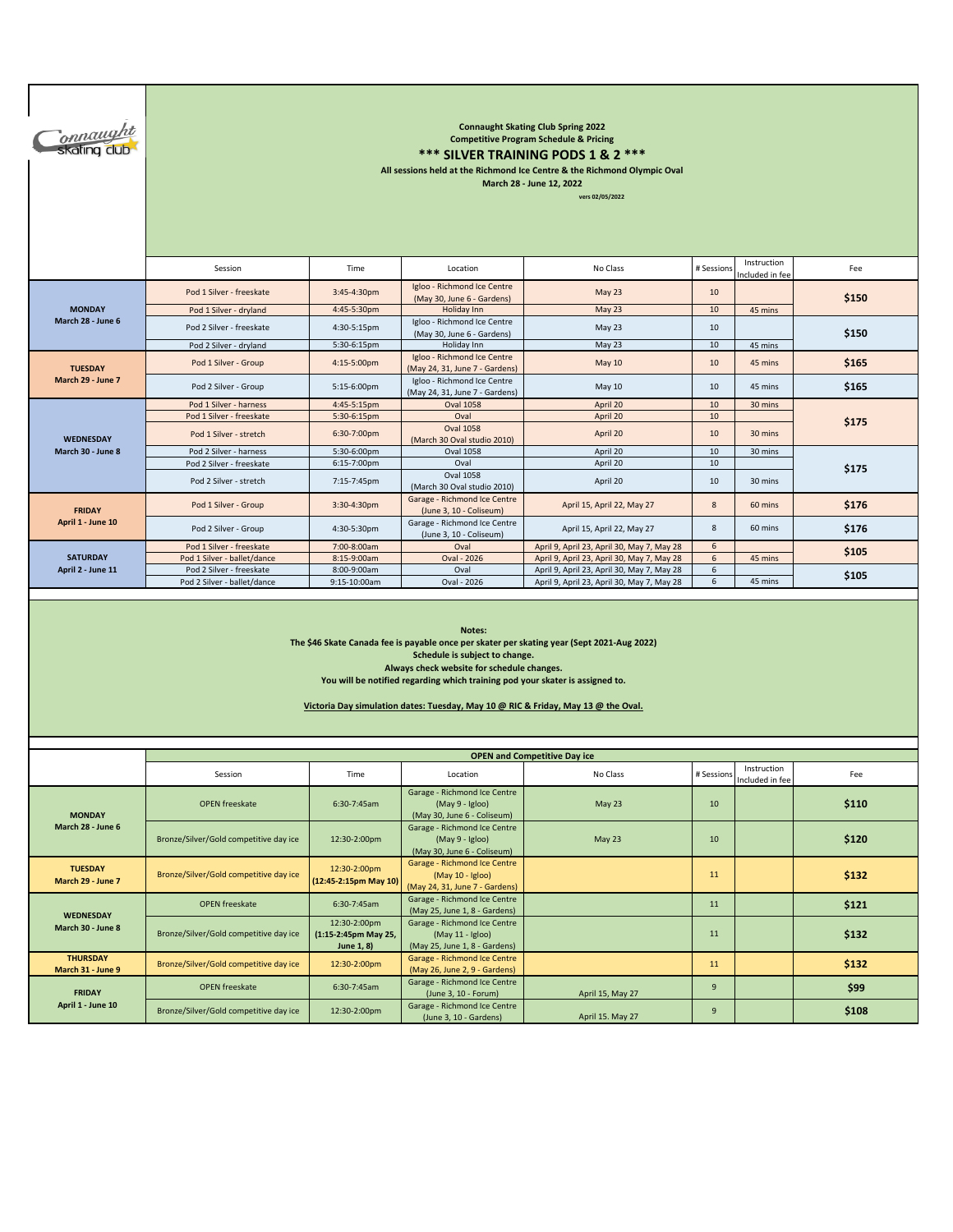| onnaught<br>skating club                                                                                                                                                                                                                                                                                                                                   | <b>Connaught Skating Club Spring 2022</b><br><b>Competitive Program Schedule &amp; Pricing</b><br>*** SILVER TRAINING PODS 1 & 2 ***<br>All sessions held at the Richmond Ice Centre & the Richmond Olympic Oval<br>March 28 - June 12, 2022<br>vers 02/05/2022 |                                                    |                                                                                    |                                                                                          |              |                                |       |  |  |  |  |
|------------------------------------------------------------------------------------------------------------------------------------------------------------------------------------------------------------------------------------------------------------------------------------------------------------------------------------------------------------|-----------------------------------------------------------------------------------------------------------------------------------------------------------------------------------------------------------------------------------------------------------------|----------------------------------------------------|------------------------------------------------------------------------------------|------------------------------------------------------------------------------------------|--------------|--------------------------------|-------|--|--|--|--|
|                                                                                                                                                                                                                                                                                                                                                            | Session                                                                                                                                                                                                                                                         | Time                                               | Location                                                                           | No Class                                                                                 | # Sessions   | Instruction<br>Included in fee | Fee   |  |  |  |  |
|                                                                                                                                                                                                                                                                                                                                                            | Pod 1 Silver - freeskate                                                                                                                                                                                                                                        | 3:45-4:30pm                                        | Igloo - Richmond Ice Centre<br>(May 30, June 6 - Gardens)                          | May 23                                                                                   | 10           |                                | \$150 |  |  |  |  |
| <b>MONDAY</b><br>March 28 - June 6                                                                                                                                                                                                                                                                                                                         | Pod 1 Silver - dryland                                                                                                                                                                                                                                          | 4:45-5:30pm                                        | Holiday Inn                                                                        | <b>May 23</b>                                                                            | 10           | 45 mins                        |       |  |  |  |  |
|                                                                                                                                                                                                                                                                                                                                                            | Pod 2 Silver - freeskate                                                                                                                                                                                                                                        | 4:30-5:15pm                                        | Igloo - Richmond Ice Centre<br>(May 30, June 6 - Gardens)                          | May 23                                                                                   | 10           |                                | \$150 |  |  |  |  |
|                                                                                                                                                                                                                                                                                                                                                            | Pod 2 Silver - dryland                                                                                                                                                                                                                                          | 5:30-6:15pm                                        | Holiday Inn<br>Igloo - Richmond Ice Centre                                         | May 23                                                                                   | 10           | 45 mins                        |       |  |  |  |  |
| <b>TUESDAY</b>                                                                                                                                                                                                                                                                                                                                             | Pod 1 Silver - Group                                                                                                                                                                                                                                            | 4:15-5:00pm                                        | (May 24, 31, June 7 - Gardens)                                                     | <b>May 10</b>                                                                            | 10           | 45 mins                        | \$165 |  |  |  |  |
| March 29 - June 7                                                                                                                                                                                                                                                                                                                                          | Pod 2 Silver - Group                                                                                                                                                                                                                                            | 5:15-6:00pm                                        | Igloo - Richmond Ice Centre<br>(May 24, 31, June 7 - Gardens)                      | <b>May 10</b>                                                                            | 10           | 45 mins                        | \$165 |  |  |  |  |
|                                                                                                                                                                                                                                                                                                                                                            | Pod 1 Silver - harness                                                                                                                                                                                                                                          | 4:45-5:15pm                                        | <b>Oval 1058</b>                                                                   | April 20                                                                                 | 10           | 30 mins                        |       |  |  |  |  |
|                                                                                                                                                                                                                                                                                                                                                            | Pod 1 Silver - freeskate                                                                                                                                                                                                                                        | 5:30-6:15pm                                        | Oval<br><b>Oval 1058</b>                                                           | April 20                                                                                 | 10           |                                | \$175 |  |  |  |  |
| <b>WEDNESDAY</b>                                                                                                                                                                                                                                                                                                                                           | Pod 1 Silver - stretch                                                                                                                                                                                                                                          | 6:30-7:00pm                                        | (March 30 Oval studio 2010)                                                        | April 20                                                                                 | 10           | 30 mins                        |       |  |  |  |  |
| March 30 - June 8                                                                                                                                                                                                                                                                                                                                          | Pod 2 Silver - harness                                                                                                                                                                                                                                          | 5:30-6:00pm                                        | <b>Oval 1058</b>                                                                   | April 20                                                                                 | 10           | 30 mins                        |       |  |  |  |  |
|                                                                                                                                                                                                                                                                                                                                                            | Pod 2 Silver - freeskate                                                                                                                                                                                                                                        | 6:15-7:00pm                                        | Oval<br><b>Oval 1058</b>                                                           | April 20                                                                                 | 10           |                                | \$175 |  |  |  |  |
|                                                                                                                                                                                                                                                                                                                                                            | Pod 2 Silver - stretch                                                                                                                                                                                                                                          | 7:15-7:45pm                                        | (March 30 Oval studio 2010)<br>Garage - Richmond Ice Centre                        | April 20                                                                                 | 10           | 30 mins                        |       |  |  |  |  |
| <b>FRIDAY</b><br>April 1 - June 10                                                                                                                                                                                                                                                                                                                         | Pod 1 Silver - Group                                                                                                                                                                                                                                            | 3:30-4:30pm                                        | (June 3, 10 - Coliseum)                                                            | April 15, April 22, May 27                                                               | $\bf 8$      | 60 mins                        | \$176 |  |  |  |  |
|                                                                                                                                                                                                                                                                                                                                                            | Pod 2 Silver - Group                                                                                                                                                                                                                                            | 4:30-5:30pm                                        | Garage - Richmond Ice Centre<br>(June 3, 10 - Coliseum)                            | April 15, April 22, May 27                                                               | 8            | 60 mins                        | \$176 |  |  |  |  |
| <b>SATURDAY</b>                                                                                                                                                                                                                                                                                                                                            | Pod 1 Silver - freeskate<br>Pod 1 Silver - ballet/dance                                                                                                                                                                                                         | 7:00-8:00am                                        | Oval<br>Oval - 2026                                                                | April 9, April 23, April 30, May 7, May 28                                               | 6<br>$\sf 6$ |                                | \$105 |  |  |  |  |
| April 2 - June 11                                                                                                                                                                                                                                                                                                                                          | Pod 2 Silver - freeskate                                                                                                                                                                                                                                        | 8:15-9:00am<br>8:00-9:00am                         | Oval                                                                               | April 9, April 23, April 30, May 7, May 28<br>April 9, April 23, April 30, May 7, May 28 | 6            | 45 mins                        |       |  |  |  |  |
|                                                                                                                                                                                                                                                                                                                                                            | Pod 2 Silver - ballet/dance                                                                                                                                                                                                                                     | 9:15-10:00am                                       | Oval - 2026                                                                        | April 9, April 23, April 30, May 7, May 28                                               | 6            | 45 mins                        | \$105 |  |  |  |  |
| Notes:<br>The \$46 Skate Canada fee is payable once per skater per skating year (Sept 2021-Aug 2022)<br>Schedule is subject to change.<br>Always check website for schedule changes.<br>You will be notified regarding which training pod your skater is assigned to.<br>Victoria Day simulation dates: Tuesday, May 10 @ RIC & Friday, May 13 @ the Oval. |                                                                                                                                                                                                                                                                 |                                                    |                                                                                    |                                                                                          |              |                                |       |  |  |  |  |
|                                                                                                                                                                                                                                                                                                                                                            |                                                                                                                                                                                                                                                                 |                                                    |                                                                                    | <b>OPEN and Competitive Day ice</b>                                                      |              |                                |       |  |  |  |  |
|                                                                                                                                                                                                                                                                                                                                                            | Session                                                                                                                                                                                                                                                         | Time                                               | Location                                                                           | No Class                                                                                 | # Sessions   | Instruction<br>Included in fee | Fee   |  |  |  |  |
| <b>MONDAY</b>                                                                                                                                                                                                                                                                                                                                              | <b>OPEN</b> freeskate                                                                                                                                                                                                                                           | 6:30-7:45am                                        | Garage - Richmond Ice Centre<br>(May 9 - Igloo)<br>(May 30, June 6 - Coliseum)     | May 23                                                                                   | 10           |                                | \$110 |  |  |  |  |
| March 28 - June 6                                                                                                                                                                                                                                                                                                                                          | Bronze/Silver/Gold competitive day ice                                                                                                                                                                                                                          | 12:30-2:00pm                                       | Garage - Richmond Ice Centre<br>(May 9 - Igloo)<br>(May 30, June 6 - Coliseum)     | May 23                                                                                   | 10           |                                | \$120 |  |  |  |  |
| <b>TUESDAY</b><br>March 29 - June 7                                                                                                                                                                                                                                                                                                                        | Bronze/Silver/Gold competitive day ice                                                                                                                                                                                                                          | 12:30-2:00pm<br>(12:45-2:15pm May 10)              | Garage - Richmond Ice Centre<br>(May 10 - Igloo)<br>(May 24, 31, June 7 - Gardens) |                                                                                          | 11           |                                | \$132 |  |  |  |  |
|                                                                                                                                                                                                                                                                                                                                                            | <b>OPEN</b> freeskate                                                                                                                                                                                                                                           | 6:30-7:45am                                        | Garage - Richmond Ice Centre<br>(May 25, June 1, 8 - Gardens)                      |                                                                                          | 11           |                                | \$121 |  |  |  |  |
| <b>WEDNESDAY</b><br>March 30 - June 8                                                                                                                                                                                                                                                                                                                      | Bronze/Silver/Gold competitive day ice                                                                                                                                                                                                                          | 12:30-2:00pm<br>(1:15-2:45pm May 25,<br>June 1, 8) | Garage - Richmond Ice Centre<br>(May 11 - Igloo)<br>(May 25, June 1, 8 - Gardens)  |                                                                                          | 11           |                                | \$132 |  |  |  |  |
| <b>THURSDAY</b><br>March 31 - June 9                                                                                                                                                                                                                                                                                                                       | Bronze/Silver/Gold competitive day ice                                                                                                                                                                                                                          | 12:30-2:00pm                                       | Garage - Richmond Ice Centre<br>(May 26, June 2, 9 - Gardens)                      |                                                                                          | 11           |                                | \$132 |  |  |  |  |
| <b>FRIDAY</b>                                                                                                                                                                                                                                                                                                                                              | <b>OPEN</b> freeskate                                                                                                                                                                                                                                           | 6:30-7:45am                                        | Garage - Richmond Ice Centre<br>(June 3, 10 - Forum)                               | April 15, May 27                                                                         | 9            |                                | \$99  |  |  |  |  |
| April 1 - June 10                                                                                                                                                                                                                                                                                                                                          | Bronze/Silver/Gold competitive day ice                                                                                                                                                                                                                          | 12:30-2:00pm                                       | Garage - Richmond Ice Centre<br>(June 3, 10 - Gardens)                             | April 15. May 27                                                                         | 9            |                                | \$108 |  |  |  |  |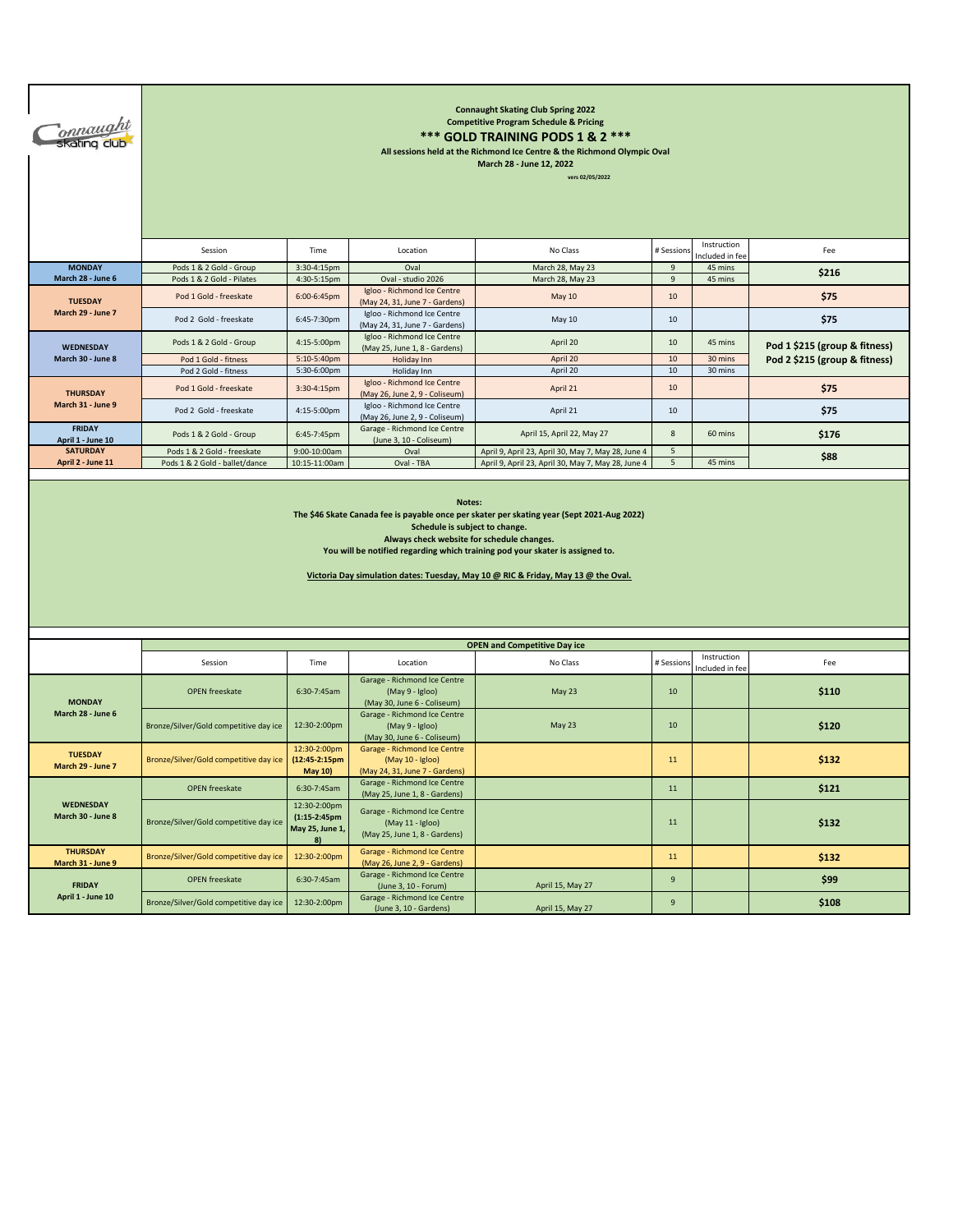| T <sub>onnaught</sub><br>Skating club | <b>Connaught Skating Club Spring 2022</b><br><b>Competitive Program Schedule &amp; Pricing</b><br>*** GOLD TRAINING PODS 1 & 2 ***<br>All sessions held at the Richmond Ice Centre & the Richmond Olympic Oval<br>March 28 - June 12, 2022<br>vers 02/05/2022                                                                                    |                                                                                                                                   |                                                                                    |                                                                                                          |                     |                    |                                                                |  |  |  |
|---------------------------------------|--------------------------------------------------------------------------------------------------------------------------------------------------------------------------------------------------------------------------------------------------------------------------------------------------------------------------------------------------|-----------------------------------------------------------------------------------------------------------------------------------|------------------------------------------------------------------------------------|----------------------------------------------------------------------------------------------------------|---------------------|--------------------|----------------------------------------------------------------|--|--|--|
|                                       | Instruction<br>No Class<br># Sessions<br>Session<br>Time<br>Location<br>Fee<br>ncluded in fee                                                                                                                                                                                                                                                    |                                                                                                                                   |                                                                                    |                                                                                                          |                     |                    |                                                                |  |  |  |
| <b>MONDAY</b><br>March 28 - June 6    | Pods 1 & 2 Gold - Group<br>Pods 1 & 2 Gold - Pilates                                                                                                                                                                                                                                                                                             | 3:30-4:15pm<br>4:30-5:15pm                                                                                                        | Oval<br>Oval - studio 2026                                                         | March 28, May 23<br>March 28, May 23                                                                     | 9<br>$\overline{9}$ | 45 mins<br>45 mins | \$216                                                          |  |  |  |
|                                       | Pod 1 Gold - freeskate                                                                                                                                                                                                                                                                                                                           | 6:00-6:45pm                                                                                                                       | Igloo - Richmond Ice Centre                                                        | <b>May 10</b>                                                                                            | 10                  |                    | \$75                                                           |  |  |  |
| <b>TUESDAY</b><br>March 29 - June 7   | Pod 2 Gold - freeskate                                                                                                                                                                                                                                                                                                                           | 6:45-7:30pm                                                                                                                       | (May 24, 31, June 7 - Gardens)<br>Igloo - Richmond Ice Centre                      | May 10                                                                                                   | 10                  |                    | \$75                                                           |  |  |  |
|                                       | Pods 1 & 2 Gold - Group                                                                                                                                                                                                                                                                                                                          | 4:15-5:00pm                                                                                                                       | (May 24, 31, June 7 - Gardens)<br>Igloo - Richmond Ice Centre                      | April 20                                                                                                 | 10                  | 45 mins            |                                                                |  |  |  |
| WEDNESDAY<br>March 30 - June 8        | Pod 1 Gold - fitness                                                                                                                                                                                                                                                                                                                             | 5:10-5:40pm                                                                                                                       | (May 25, June 1, 8 - Gardens)<br>Holiday Inn                                       | April 20                                                                                                 | $10\,$              | 30 mins            | Pod 1 \$215 (group & fitness)<br>Pod 2 \$215 (group & fitness) |  |  |  |
|                                       | Pod 2 Gold - fitness                                                                                                                                                                                                                                                                                                                             | 5:30-6:00pm                                                                                                                       | Holiday Inn                                                                        | April 20                                                                                                 | 10                  | 30 mins            |                                                                |  |  |  |
| <b>THURSDAY</b>                       | Pod 1 Gold - freeskate                                                                                                                                                                                                                                                                                                                           | 3:30-4:15pm                                                                                                                       | Igloo - Richmond Ice Centre<br>(May 26, June 2, 9 - Coliseum)                      | April 21                                                                                                 | 10                  |                    | \$75                                                           |  |  |  |
| March 31 - June 9                     | Pod 2 Gold - freeskate                                                                                                                                                                                                                                                                                                                           | 4:15-5:00pm                                                                                                                       | Igloo - Richmond Ice Centre<br>(May 26, June 2, 9 - Coliseum)                      | April 21                                                                                                 | 10                  |                    | \$75                                                           |  |  |  |
| <b>FRIDAY</b><br>April 1 - June 10    | Pods 1 & 2 Gold - Group                                                                                                                                                                                                                                                                                                                          | Garage - Richmond Ice Centre<br>$8\phantom{1}$<br>6:45-7:45pm<br>April 15, April 22, May 27<br>60 mins<br>(June 3, 10 - Coliseum) |                                                                                    |                                                                                                          | \$176               |                    |                                                                |  |  |  |
| <b>SATURDAY</b>                       | Pods 1 & 2 Gold - freeskate                                                                                                                                                                                                                                                                                                                      |                                                                                                                                   |                                                                                    |                                                                                                          |                     |                    |                                                                |  |  |  |
| April 2 - June 11                     | Pods 1 & 2 Gold - ballet/dance                                                                                                                                                                                                                                                                                                                   | 9:00-10:00am<br>10:15-11:00am                                                                                                     | Oval<br>Oval - TBA                                                                 | April 9, April 23, April 30, May 7, May 28, June 4<br>April 9, April 23, April 30, May 7, May 28, June 4 | 5<br>5              | 45 mins            | \$88                                                           |  |  |  |
|                                       | The \$46 Skate Canada fee is payable once per skater per skating year (Sept 2021-Aug 2022)<br>Schedule is subject to change.<br>Always check website for schedule changes.<br>You will be notified regarding which training pod your skater is assigned to.<br>Victoria Day simulation dates: Tuesday, May 10 @ RIC & Friday, May 13 @ the Oval. |                                                                                                                                   |                                                                                    |                                                                                                          |                     |                    |                                                                |  |  |  |
|                                       |                                                                                                                                                                                                                                                                                                                                                  |                                                                                                                                   |                                                                                    |                                                                                                          |                     |                    |                                                                |  |  |  |
|                                       |                                                                                                                                                                                                                                                                                                                                                  |                                                                                                                                   |                                                                                    | <b>OPEN and Competitive Day ice</b>                                                                      |                     | Instruction        |                                                                |  |  |  |
|                                       | Session                                                                                                                                                                                                                                                                                                                                          | Time                                                                                                                              | Location                                                                           | No Class                                                                                                 | # Sessions          | Included in fee    | Fee                                                            |  |  |  |
| <b>MONDAY</b>                         | <b>OPEN</b> freeskate                                                                                                                                                                                                                                                                                                                            | 6:30-7:45am                                                                                                                       | Garage - Richmond Ice Centre<br>(May 9 - Igloo)<br>(May 30, June 6 - Coliseum)     | May 23                                                                                                   | 10                  |                    | \$110                                                          |  |  |  |
| March 28 - June 6                     | Bronze/Silver/Gold competitive day ice                                                                                                                                                                                                                                                                                                           | 12:30-2:00pm                                                                                                                      | Garage - Richmond Ice Centre<br>(May 9 - Igloo)<br>(May 30, June 6 - Coliseum)     | May 23                                                                                                   | 10                  |                    | \$120                                                          |  |  |  |
| <b>TUESDAY</b><br>March 29 - June 7   | Bronze/Silver/Gold competitive day ice                                                                                                                                                                                                                                                                                                           | 12:30-2:00pm<br>(12:45-2:15pm<br>May 10)                                                                                          | Garage - Richmond Ice Centre<br>(May 10 - Igloo)<br>(May 24, 31, June 7 - Gardens) |                                                                                                          | 11                  |                    | \$132                                                          |  |  |  |
|                                       | <b>OPEN</b> freeskate                                                                                                                                                                                                                                                                                                                            | 6:30-7:45am                                                                                                                       | Garage - Richmond Ice Centre<br>(May 25, June 1, 8 - Gardens)                      |                                                                                                          | $11\,$              |                    | \$121                                                          |  |  |  |
| <b>WEDNESDAY</b><br>March 30 - June 8 | Bronze/Silver/Gold competitive day ice                                                                                                                                                                                                                                                                                                           | 12:30-2:00pm<br>$(1:15-2:45$ pm<br>May 25, June 1,<br>8)                                                                          | Garage - Richmond Ice Centre<br>(May 11 - Igloo)<br>(May 25, June 1, 8 - Gardens)  |                                                                                                          | 11                  |                    | \$132                                                          |  |  |  |
| <b>THURSDAY</b><br>March 31 - June 9  | Bronze/Silver/Gold competitive day ice                                                                                                                                                                                                                                                                                                           | 12:30-2:00pm                                                                                                                      | Garage - Richmond Ice Centre<br>(May 26, June 2, 9 - Gardens)                      |                                                                                                          | 11                  |                    | \$132                                                          |  |  |  |
| <b>FRIDAY</b>                         | OPEN freeskate                                                                                                                                                                                                                                                                                                                                   | 6:30-7:45am                                                                                                                       | Garage - Richmond Ice Centre<br>(June 3, 10 - Forum)                               | April 15, May 27                                                                                         | $\mathsf g$         |                    | \$99                                                           |  |  |  |
| April 1 - June 10                     | Bronze/Silver/Gold competitive day ice                                                                                                                                                                                                                                                                                                           | 12:30-2:00pm                                                                                                                      | Garage - Richmond Ice Centre<br>(June 3, 10 - Gardens)                             | April 15, May 27                                                                                         | $\boldsymbol{9}$    |                    | \$108                                                          |  |  |  |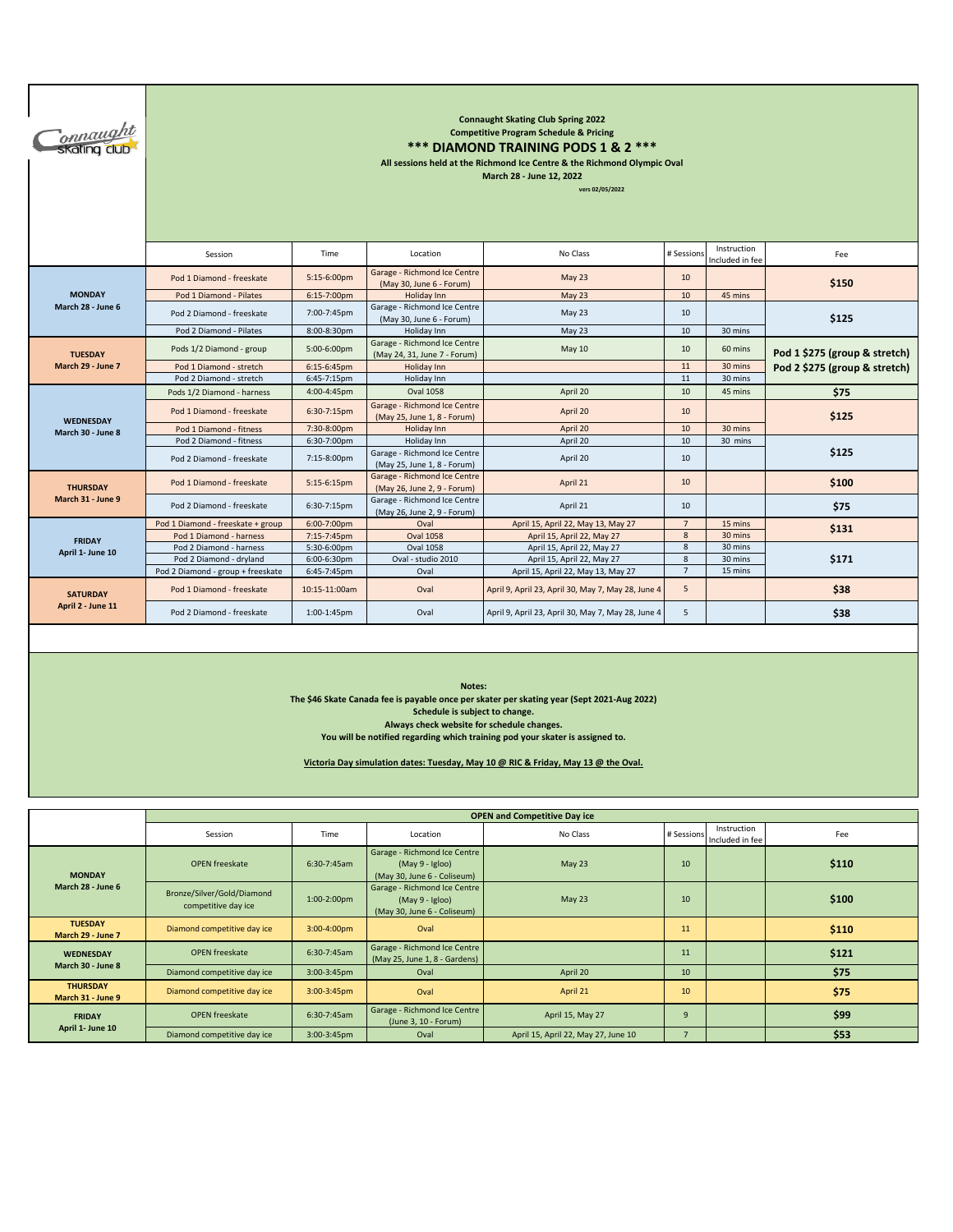| <i>Connaught</i><br>Skating club | <b>Connaught Skating Club Spring 2022</b><br><b>Competitive Program Schedule &amp; Pricing</b><br>*** DIAMOND TRAINING PODS 1 & 2 ***<br>All sessions held at the Richmond Ice Centre & the Richmond Olympic Oval<br>March 28 - June 12, 2022<br>vers 02/05/2022 |                |                                                              |                                                    |                |                                |                               |  |  |  |
|----------------------------------|------------------------------------------------------------------------------------------------------------------------------------------------------------------------------------------------------------------------------------------------------------------|----------------|--------------------------------------------------------------|----------------------------------------------------|----------------|--------------------------------|-------------------------------|--|--|--|
|                                  | Session                                                                                                                                                                                                                                                          | Time           | Location                                                     | No Class                                           | # Sessions     | Instruction<br>Included in fee | Fee                           |  |  |  |
|                                  | Pod 1 Diamond - freeskate                                                                                                                                                                                                                                        | 5:15-6:00pm    | Garage - Richmond Ice Centre<br>(May 30, June 6 - Forum)     | May 23                                             | 10             |                                | \$150                         |  |  |  |
| <b>MONDAY</b>                    | Pod 1 Diamond - Pilates                                                                                                                                                                                                                                          | 6:15-7:00pm    | Holiday Inn                                                  | <b>May 23</b>                                      | 10             | 45 mins                        |                               |  |  |  |
| March 28 - June 6                | Pod 2 Diamond - freeskate                                                                                                                                                                                                                                        | 7:00-7:45pm    | Garage - Richmond Ice Centre<br>(May 30, June 6 - Forum)     | May 23                                             | 10             |                                | \$125                         |  |  |  |
|                                  | Pod 2 Diamond - Pilates                                                                                                                                                                                                                                          | 8:00-8:30pm    | Holiday Inn                                                  | May 23                                             | 10             | 30 mins                        |                               |  |  |  |
| <b>TUESDAY</b>                   | Pods 1/2 Diamond - group                                                                                                                                                                                                                                         | 5:00-6:00pm    | Garage - Richmond Ice Centre<br>(May 24, 31, June 7 - Forum) | May 10                                             | 10             | 60 mins                        | Pod 1 \$275 (group & stretch) |  |  |  |
| March 29 - June 7                | Pod 1 Diamond - stretch                                                                                                                                                                                                                                          | $6:15-6:45$ pm | Holiday Inn                                                  |                                                    | 11             | 30 mins                        | Pod 2 \$275 (group & stretch) |  |  |  |
|                                  | Pod 2 Diamond - stretch                                                                                                                                                                                                                                          | 6:45-7:15pm    | Holiday Inn                                                  |                                                    | 11             | 30 mins                        |                               |  |  |  |
|                                  | Pods 1/2 Diamond - harness                                                                                                                                                                                                                                       | 4:00-4:45pm    | <b>Oval 1058</b>                                             | April 20                                           | 10             | 45 mins                        | \$75                          |  |  |  |
| <b>WEDNESDAY</b>                 | Pod 1 Diamond - freeskate                                                                                                                                                                                                                                        | 6:30-7:15pm    | Garage - Richmond Ice Centre<br>(May 25, June 1, 8 - Forum)  | April 20                                           | 10             |                                | \$125                         |  |  |  |
| March 30 - June 8                | Pod 1 Diamond - fitness                                                                                                                                                                                                                                          | 7:30-8:00pm    | Holiday Inn                                                  | April 20                                           | 10             | 30 mins                        |                               |  |  |  |
|                                  | Pod 2 Diamond - fitness                                                                                                                                                                                                                                          | 6:30-7:00pm    | Holiday Inn                                                  | April 20                                           | 10             | 30 mins                        |                               |  |  |  |
|                                  | Pod 2 Diamond - freeskate                                                                                                                                                                                                                                        | 7:15-8:00pm    | Garage - Richmond Ice Centre<br>(May 25, June 1, 8 - Forum)  | April 20                                           | 10             |                                | \$125                         |  |  |  |
| <b>THURSDAY</b>                  | Pod 1 Diamond - freeskate                                                                                                                                                                                                                                        | $5:15-6:15$ pm | Garage - Richmond Ice Centre<br>(May 26, June 2, 9 - Forum)  | April 21                                           | 10             |                                | \$100                         |  |  |  |
| March 31 - June 9                | Pod 2 Diamond - freeskate                                                                                                                                                                                                                                        | 6:30-7:15pm    | Garage - Richmond Ice Centre<br>(May 26, June 2, 9 - Forum)  | April 21                                           | 10             |                                | \$75                          |  |  |  |
|                                  | Pod 1 Diamond - freeskate + group                                                                                                                                                                                                                                | 6:00-7:00pm    | Oval                                                         | April 15, April 22, May 13, May 27                 | $\overline{7}$ | 15 mins                        |                               |  |  |  |
| <b>FRIDAY</b>                    | Pod 1 Diamond - harness                                                                                                                                                                                                                                          | 7:15-7:45pm    | <b>Oval 1058</b>                                             | April 15, April 22, May 27                         | 8              | 30 mins                        | \$131                         |  |  |  |
|                                  | Pod 2 Diamond - harness                                                                                                                                                                                                                                          | 5:30-6:00pm    | <b>Oval 1058</b>                                             | April 15, April 22, May 27                         | $\bf 8$        | 30 mins                        |                               |  |  |  |
| April 1- June 10                 | Pod 2 Diamond - dryland                                                                                                                                                                                                                                          | 6:00-6:30pm    | Oval - studio 2010                                           | April 15, April 22, May 27                         | 8              | 30 mins                        | \$171                         |  |  |  |
|                                  | Pod 2 Diamond - group + freeskate                                                                                                                                                                                                                                | 6:45-7:45pm    | Oval                                                         | April 15, April 22, May 13, May 27                 | $\overline{7}$ | 15 mins                        |                               |  |  |  |
| <b>SATURDAY</b>                  | Pod 1 Diamond - freeskate                                                                                                                                                                                                                                        | 10:15-11:00am  | Oval                                                         | April 9, April 23, April 30, May 7, May 28, June 4 | 5              |                                | \$38                          |  |  |  |
| April 2 - June 11                | Pod 2 Diamond - freeskate                                                                                                                                                                                                                                        | 1:00-1:45pm    | Oval                                                         | April 9, April 23, April 30, May 7, May 28, June 4 | 5              |                                | \$38                          |  |  |  |

**Notes:**

**The \$46 Skate Canada fee is payable once per skater per skating year (Sept 2021-Aug 2022)**

**Schedule is subject to change.**

**Always check website for schedule changes.**

**You will be notified regarding which training pod your skater is assigned to.**

**Victoria Day simulation dates: Tuesday, May 10 @ RIC & Friday, May 13 @ the Oval.**

|                                      | <b>OPEN and Competitive Day ice</b>               |             |                                                                                |                                     |            |                                |       |  |  |  |
|--------------------------------------|---------------------------------------------------|-------------|--------------------------------------------------------------------------------|-------------------------------------|------------|--------------------------------|-------|--|--|--|
|                                      | Session                                           | Time        | Location                                                                       | No Class                            | # Sessions | Instruction<br>Included in fee | Fee   |  |  |  |
| <b>MONDAY</b><br>March 28 - June 6   | <b>OPEN</b> freeskate                             | 6:30-7:45am | Garage - Richmond Ice Centre<br>(May 9 - Igloo)<br>(May 30, June 6 - Coliseum) | May 23                              | 10         |                                | \$110 |  |  |  |
|                                      | Bronze/Silver/Gold/Diamond<br>competitive day ice | 1:00-2:00pm | Garage - Richmond Ice Centre<br>(May 9 - Igloo)<br>(May 30, June 6 - Coliseum) | May 23                              | 10         |                                | \$100 |  |  |  |
| <b>TUESDAY</b><br>March 29 - June 7  | Diamond competitive day ice                       | 3:00-4:00pm | Oval                                                                           |                                     | 11         |                                | \$110 |  |  |  |
| <b>WEDNESDAY</b>                     | <b>OPEN</b> freeskate                             | 6:30-7:45am | Garage - Richmond Ice Centre<br>(May 25, June 1, 8 - Gardens)                  |                                     | 11         |                                | \$121 |  |  |  |
| March 30 - June 8                    | Diamond competitive day ice                       | 3:00-3:45pm | Oval                                                                           | April 20                            | 10         |                                | \$75  |  |  |  |
| <b>THURSDAY</b><br>March 31 - June 9 | Diamond competitive day ice                       | 3:00-3:45pm | Oval                                                                           | April 21                            | 10         |                                | \$75  |  |  |  |
| <b>FRIDAY</b>                        | <b>OPEN</b> freeskate                             | 6:30-7:45am | Garage - Richmond Ice Centre<br>(June 3, 10 - Forum)                           | April 15, May 27                    | S          |                                | \$99  |  |  |  |
| April 1- June 10                     | Diamond competitive day ice                       | 3:00-3:45pm | Oval                                                                           | April 15, April 22, May 27, June 10 |            |                                | \$53  |  |  |  |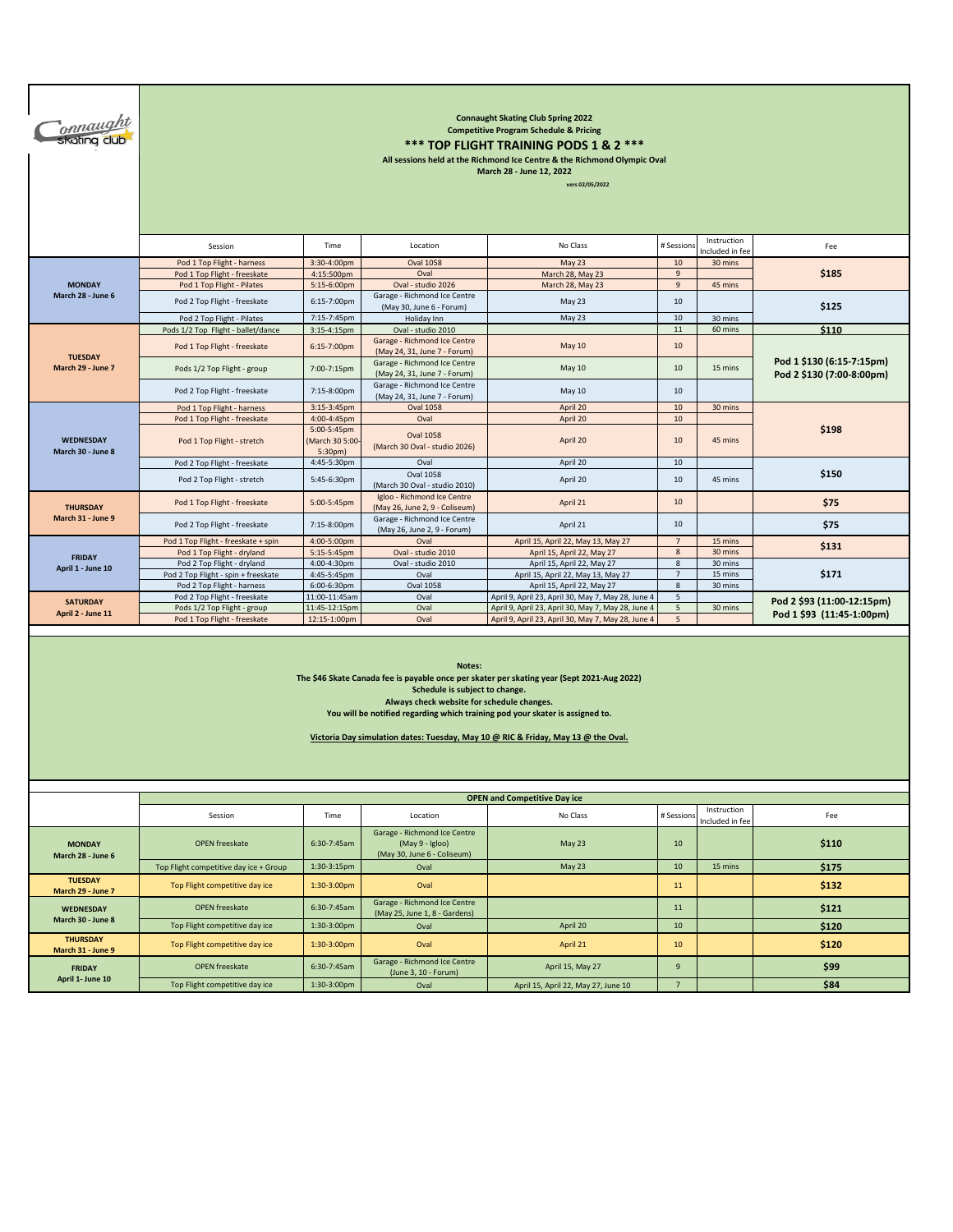| <u>onnaught</u><br>skating club                                                                                                                                                                                                                                                                                                                            | <b>Connaught Skating Club Spring 2022</b><br><b>Competitive Program Schedule &amp; Pricing</b><br>*** TOP FLIGHT TRAINING PODS 1 & 2 ***<br>All sessions held at the Richmond Ice Centre & the Richmond Olympic Oval<br>March 28 - June 12, 2022<br>vers 02/05/2022 |                                                         |                                                                                |                                                                  |                     |                                |                            |  |  |  |  |
|------------------------------------------------------------------------------------------------------------------------------------------------------------------------------------------------------------------------------------------------------------------------------------------------------------------------------------------------------------|---------------------------------------------------------------------------------------------------------------------------------------------------------------------------------------------------------------------------------------------------------------------|---------------------------------------------------------|--------------------------------------------------------------------------------|------------------------------------------------------------------|---------------------|--------------------------------|----------------------------|--|--|--|--|
|                                                                                                                                                                                                                                                                                                                                                            | Instruction<br>No Class<br>Time<br>Location<br># Session<br>Session<br>Fee<br>ncluded in fee                                                                                                                                                                        |                                                         |                                                                                |                                                                  |                     |                                |                            |  |  |  |  |
|                                                                                                                                                                                                                                                                                                                                                            | Pod 1 Top Flight - harness<br>Pod 1 Top Flight - freeskate                                                                                                                                                                                                          | 3:30-4:00pm<br>4:15:500pm                               | <b>Oval 1058</b><br>Oval                                                       | May 23<br>March 28, May 23                                       | 10<br>$9\,$         | 30 mins                        | \$185                      |  |  |  |  |
| <b>MONDAY</b>                                                                                                                                                                                                                                                                                                                                              | Pod 1 Top Flight - Pilates                                                                                                                                                                                                                                          | 5:15-6:00pm                                             | Oval - studio 2026                                                             | March 28, May 23                                                 | $\mathsf g$         | 45 mins                        |                            |  |  |  |  |
| March 28 - June 6                                                                                                                                                                                                                                                                                                                                          | Pod 2 Top Flight - freeskate                                                                                                                                                                                                                                        | 6:15-7:00pm                                             | Garage - Richmond Ice Centre<br>(May 30, June 6 - Forum)                       | May 23                                                           | $10\,$              |                                | \$125                      |  |  |  |  |
|                                                                                                                                                                                                                                                                                                                                                            | Pod 2 Top Flight - Pilates                                                                                                                                                                                                                                          | 7:15-7:45pm                                             | Holiday Inn                                                                    | May 23                                                           | $10\,$              | 30 mins                        |                            |  |  |  |  |
|                                                                                                                                                                                                                                                                                                                                                            | Pods 1/2 Top Flight - ballet/dance                                                                                                                                                                                                                                  | $3:15-4:15pm$                                           | Oval - studio 2010                                                             |                                                                  | 11                  | 60 mins                        | \$110                      |  |  |  |  |
| <b>TUESDAY</b>                                                                                                                                                                                                                                                                                                                                             | Pod 1 Top Flight - freeskate                                                                                                                                                                                                                                        | 6:15-7:00pm                                             | Garage - Richmond Ice Centre<br>(May 24, 31, June 7 - Forum)                   | <b>May 10</b>                                                    | 10                  |                                | Pod 1 \$130 (6:15-7:15pm)  |  |  |  |  |
| March 29 - June 7                                                                                                                                                                                                                                                                                                                                          | Pods 1/2 Top Flight - group                                                                                                                                                                                                                                         | 7:00-7:15pm                                             | Garage - Richmond Ice Centre<br>(May 24, 31, June 7 - Forum)                   | May 10                                                           | $10\,$              | 15 mins                        | Pod 2 \$130 (7:00-8:00pm)  |  |  |  |  |
|                                                                                                                                                                                                                                                                                                                                                            | Pod 2 Top Flight - freeskate                                                                                                                                                                                                                                        | 7:15-8:00pm                                             | Garage - Richmond Ice Centre<br>(May 24, 31, June 7 - Forum)                   | May 10                                                           | 10                  |                                |                            |  |  |  |  |
|                                                                                                                                                                                                                                                                                                                                                            | Pod 1 Top Flight - harness                                                                                                                                                                                                                                          | 3:15-3:45pm                                             | <b>Oval 1058</b>                                                               | April 20                                                         | $10$                | 30 mins                        |                            |  |  |  |  |
| <b>WEDNESDAY</b><br>March 30 - June 8                                                                                                                                                                                                                                                                                                                      | Pod 1 Top Flight - freeskate<br>Pod 1 Top Flight - stretch                                                                                                                                                                                                          | 4:00-4:45pm<br>5:00-5:45pm<br>March 30 5:00-<br>5:30pm) | Oval<br><b>Oval 1058</b><br>(March 30 Oval - studio 2026)                      | April 20<br>April 20                                             | 10<br>10            | 45 mins                        | \$198                      |  |  |  |  |
|                                                                                                                                                                                                                                                                                                                                                            | Pod 2 Top Flight - freeskate                                                                                                                                                                                                                                        | 4:45-5:30pm                                             | Oval                                                                           | April 20                                                         | 10                  |                                |                            |  |  |  |  |
|                                                                                                                                                                                                                                                                                                                                                            | Pod 2 Top Flight - stretch                                                                                                                                                                                                                                          | 5:45-6:30pm                                             | <b>Oval 1058</b><br>(March 30 Oval - studio 2010)                              | April 20                                                         | 10                  | 45 mins                        | \$150                      |  |  |  |  |
| <b>THURSDAY</b>                                                                                                                                                                                                                                                                                                                                            | Pod 1 Top Flight - freeskate                                                                                                                                                                                                                                        | 5:00-5:45pm                                             | Igloo - Richmond Ice Centre<br>(May 26, June 2, 9 - Coliseum)                  | April 21                                                         | 10                  |                                | \$75                       |  |  |  |  |
| March 31 - June 9                                                                                                                                                                                                                                                                                                                                          | Pod 2 Top Flight - freeskate                                                                                                                                                                                                                                        | 7:15-8:00pm                                             | Garage - Richmond Ice Centre<br>(May 26, June 2, 9 - Forum)                    | April 21                                                         | 10                  |                                | \$75                       |  |  |  |  |
|                                                                                                                                                                                                                                                                                                                                                            | Pod 1 Top Flight - freeskate + spin                                                                                                                                                                                                                                 | 4:00-5:00pm                                             | Oval                                                                           | April 15, April 22, May 13, May 27                               | $\overline{7}$      | 15 mins                        | \$131                      |  |  |  |  |
| <b>FRIDAY</b>                                                                                                                                                                                                                                                                                                                                              | Pod 1 Top Flight - dryland                                                                                                                                                                                                                                          | 5:15-5:45pm                                             | Oval - studio 2010                                                             | April 15, April 22, May 27                                       | 8                   | 30 mins                        |                            |  |  |  |  |
| April 1 - June 10                                                                                                                                                                                                                                                                                                                                          | Pod 2 Top Flight - dryland                                                                                                                                                                                                                                          | 4:00-4:30pm                                             | Oval - studio 2010                                                             | April 15, April 22, May 27                                       | 8<br>$\overline{7}$ | 30 mins<br>15 mins             |                            |  |  |  |  |
|                                                                                                                                                                                                                                                                                                                                                            | Pod 2 Top Flight - spin + freeskate<br>Pod 2 Top Flight - harness                                                                                                                                                                                                   | 4:45-5:45pm<br>6:00-6:30pm                              | Oval<br><b>Oval 1058</b>                                                       | April 15, April 22, May 13, May 27<br>April 15, April 22, May 27 | $\overline{8}$      | 30 mins                        | \$171                      |  |  |  |  |
|                                                                                                                                                                                                                                                                                                                                                            | Pod 2 Top Flight - freeskate                                                                                                                                                                                                                                        | 11:00-11:45am                                           | Oval                                                                           | April 9, April 23, April 30, May 7, May 28, June 4               | 5                   |                                |                            |  |  |  |  |
| <b>SATURDAY</b>                                                                                                                                                                                                                                                                                                                                            | Pods 1/2 Top Flight - group                                                                                                                                                                                                                                         | 11:45-12:15pm                                           | Oval                                                                           | April 9, April 23, April 30, May 7, May 28, June 4               | 5                   | 30 mins                        | Pod 2 \$93 (11:00-12:15pm) |  |  |  |  |
| April 2 - June 11                                                                                                                                                                                                                                                                                                                                          | Pod 1 Top Flight - freeskate                                                                                                                                                                                                                                        | 12:15-1:00pm                                            | Oval                                                                           | April 9, April 23, April 30, May 7, May 28, June 4               | 5                   |                                | Pod 1 \$93 (11:45-1:00pm)  |  |  |  |  |
| Notes:<br>The \$46 Skate Canada fee is payable once per skater per skating year (Sept 2021-Aug 2022)<br>Schedule is subject to change.<br>Always check website for schedule changes.<br>You will be notified regarding which training pod your skater is assigned to.<br>Victoria Day simulation dates: Tuesday, May 10 @ RIC & Friday, May 13 @ the Oval. |                                                                                                                                                                                                                                                                     |                                                         |                                                                                |                                                                  |                     |                                |                            |  |  |  |  |
|                                                                                                                                                                                                                                                                                                                                                            |                                                                                                                                                                                                                                                                     |                                                         |                                                                                | <b>OPEN and Competitive Day ice</b>                              |                     |                                |                            |  |  |  |  |
|                                                                                                                                                                                                                                                                                                                                                            | Session                                                                                                                                                                                                                                                             | Time                                                    | Location                                                                       | No Class                                                         | # Session:          | Instruction<br>Included in fee | Fee                        |  |  |  |  |
| <b>MONDAY</b><br>March 28 - June 6                                                                                                                                                                                                                                                                                                                         | <b>OPEN</b> freeskate                                                                                                                                                                                                                                               | 6:30-7:45am                                             | Garage - Richmond Ice Centre<br>(May 9 - Igloo)<br>(May 30, June 6 - Coliseum) | May 23                                                           | 10                  |                                | \$110                      |  |  |  |  |
|                                                                                                                                                                                                                                                                                                                                                            | Top Flight competitive day ice + Group                                                                                                                                                                                                                              | 1:30-3:15pm                                             | Oval                                                                           | May 23                                                           | 10                  | 15 mins                        | \$175                      |  |  |  |  |
| <b>TUESDAY</b><br>March 29 - June 7                                                                                                                                                                                                                                                                                                                        | Top Flight competitive day ice                                                                                                                                                                                                                                      | 1:30-3:00pm                                             | Oval                                                                           |                                                                  | 11                  |                                | \$132                      |  |  |  |  |

datage memberial eccement **11 \$121 \$121** 

Top Flight competitive day ice 1:30-3:00pm Oval April 20 10 **\$120**

Top Flight competitive day ice 1:30-3:00pm Oval April 21 10 **\$120** OPEN freeskate 6:30-7:45am Garage - Richmond Ice Centre April 15, May 27 9 9 3999<br>(June 3, 10 - Forum) Top Flight competitive day ice 1:30-3:00pm Oval April 15, April 22, May 27, June 10 7 **\$84** 

OPEN freeskate 6:30-7:45am Garage - Richmond Ice Centre

**THURSDAY March 31 - June 9**

**FRIDAY April 1- June 10**

**WEDNESDAY March 30 - June 8**